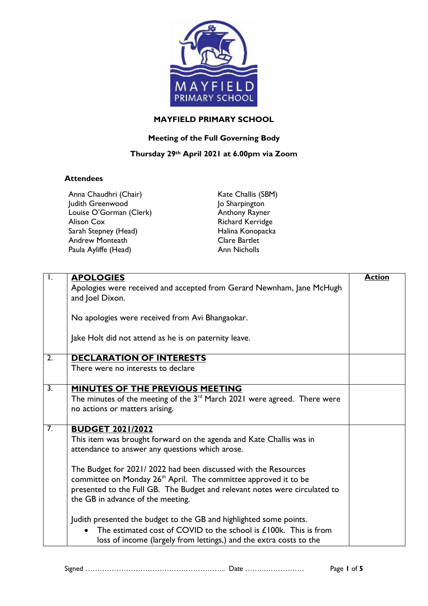

## **MAYFIELD PRIMARY SCHOOL**

## **Meeting of the Full Governing Body**

## **Thursday 29th April 2021 at 6.00pm via Zoom**

## **Attendees**

|                  | Anna Chaudhri (Chair)<br>Judith Greenwood<br>Louise O'Gorman (Clerk)<br><b>Alison Cox</b><br>Sarah Stepney (Head)<br>Andrew Monteath                                                                                                                                                                                                                                                                                  | Kate Challis (SBM)<br>Jo Sharpington<br>Anthony Rayner<br>Richard Kerridge<br>Halina Konopacka<br>Clare Bartlet |               |
|------------------|-----------------------------------------------------------------------------------------------------------------------------------------------------------------------------------------------------------------------------------------------------------------------------------------------------------------------------------------------------------------------------------------------------------------------|-----------------------------------------------------------------------------------------------------------------|---------------|
|                  | Paula Ayliffe (Head)                                                                                                                                                                                                                                                                                                                                                                                                  | <b>Ann Nicholls</b>                                                                                             |               |
| $\perp$ .        | <b>APOLOGIES</b><br>Apologies were received and accepted from Gerard Newnham, Jane McHugh<br>and Joel Dixon.<br>No apologies were received from Avi Bhangaokar.<br>Jake Holt did not attend as he is on paternity leave.                                                                                                                                                                                              |                                                                                                                 | <b>Action</b> |
| $\overline{2}$ . | <b>DECLARATION OF INTERESTS</b>                                                                                                                                                                                                                                                                                                                                                                                       |                                                                                                                 |               |
|                  | There were no interests to declare                                                                                                                                                                                                                                                                                                                                                                                    |                                                                                                                 |               |
| $\overline{3}$ . | MINUTES OF THE PREVIOUS MEETING<br>The minutes of the meeting of the $3rd$ March 2021 were agreed. There were<br>no actions or matters arising.                                                                                                                                                                                                                                                                       |                                                                                                                 |               |
| $\overline{7}$ . | <b>BUDGET 2021/2022</b><br>This item was brought forward on the agenda and Kate Challis was in<br>attendance to answer any questions which arose.<br>The Budget for 2021/2022 had been discussed with the Resources<br>committee on Monday 26 <sup>th</sup> April. The committee approved it to be<br>presented to the Full GB. The Budget and relevant notes were circulated to<br>the GB in advance of the meeting. |                                                                                                                 |               |
|                  | Judith presented the budget to the GB and highlighted some points.                                                                                                                                                                                                                                                                                                                                                    | The estimated cost of COVID to the school is £100k. This is from                                                |               |

loss of income (largely from lettings,) and the extra costs to the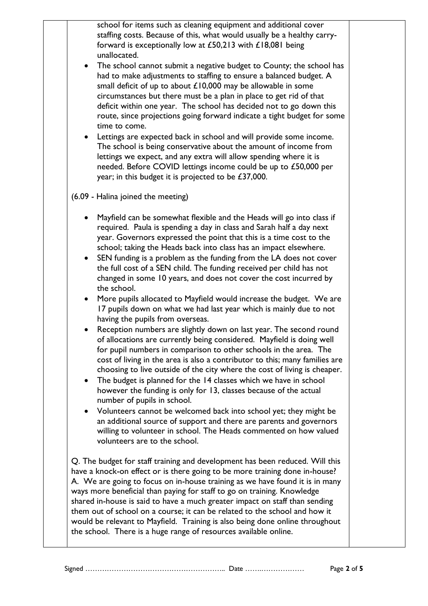school for items such as cleaning equipment and additional cover staffing costs. Because of this, what would usually be a healthy carryforward is exceptionally low at £50,213 with £18,081 being unallocated.

- The school cannot submit a negative budget to County; the school has had to make adjustments to staffing to ensure a balanced budget. A small deficit of up to about £10,000 may be allowable in some circumstances but there must be a plan in place to get rid of that deficit within one year. The school has decided not to go down this route, since projections going forward indicate a tight budget for some time to come.
- Lettings are expected back in school and will provide some income. The school is being conservative about the amount of income from lettings we expect, and any extra will allow spending where it is needed. Before COVID lettings income could be up to £50,000 per year; in this budget it is projected to be £37,000.
- (6.09 Halina joined the meeting)
	- Mayfield can be somewhat flexible and the Heads will go into class if required. Paula is spending a day in class and Sarah half a day next year. Governors expressed the point that this is a time cost to the school; taking the Heads back into class has an impact elsewhere.
	- SEN funding is a problem as the funding from the LA does not cover the full cost of a SEN child. The funding received per child has not changed in some 10 years, and does not cover the cost incurred by the school.
	- More pupils allocated to Mayfield would increase the budget. We are 17 pupils down on what we had last year which is mainly due to not having the pupils from overseas.
	- Reception numbers are slightly down on last year. The second round of allocations are currently being considered. Mayfield is doing well for pupil numbers in comparison to other schools in the area. The cost of living in the area is also a contributor to this; many families are choosing to live outside of the city where the cost of living is cheaper.
	- The budget is planned for the 14 classes which we have in school however the funding is only for 13, classes because of the actual number of pupils in school.
	- Volunteers cannot be welcomed back into school yet; they might be an additional source of support and there are parents and governors willing to volunteer in school. The Heads commented on how valued volunteers are to the school.

Q. The budget for staff training and development has been reduced. Will this have a knock-on effect or is there going to be more training done in-house? A. We are going to focus on in-house training as we have found it is in many ways more beneficial than paying for staff to go on training. Knowledge shared in-house is said to have a much greater impact on staff than sending them out of school on a course; it can be related to the school and how it would be relevant to Mayfield. Training is also being done online throughout the school. There is a huge range of resources available online.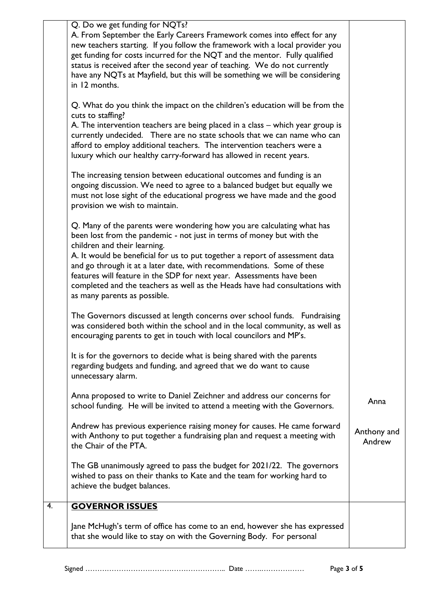|    | Q. Do we get funding for NQTs?                                                                                                                                                                                                                                                                                                                                                                                                                                                                                                    |                       |
|----|-----------------------------------------------------------------------------------------------------------------------------------------------------------------------------------------------------------------------------------------------------------------------------------------------------------------------------------------------------------------------------------------------------------------------------------------------------------------------------------------------------------------------------------|-----------------------|
|    | A. From September the Early Careers Framework comes into effect for any<br>new teachers starting. If you follow the framework with a local provider you<br>get funding for costs incurred for the NQT and the mentor. Fully qualified<br>status is received after the second year of teaching. We do not currently<br>have any NQTs at Mayfield, but this will be something we will be considering<br>in 12 months.                                                                                                               |                       |
|    | Q. What do you think the impact on the children's education will be from the<br>cuts to staffing?<br>A. The intervention teachers are being placed in a class – which year group is<br>currently undecided. There are no state schools that we can name who can<br>afford to employ additional teachers. The intervention teachers were a<br>luxury which our healthy carry-forward has allowed in recent years.                                                                                                                  |                       |
|    | The increasing tension between educational outcomes and funding is an<br>ongoing discussion. We need to agree to a balanced budget but equally we<br>must not lose sight of the educational progress we have made and the good<br>provision we wish to maintain.                                                                                                                                                                                                                                                                  |                       |
|    | Q. Many of the parents were wondering how you are calculating what has<br>been lost from the pandemic - not just in terms of money but with the<br>children and their learning.<br>A. It would be beneficial for us to put together a report of assessment data<br>and go through it at a later date, with recommendations. Some of these<br>features will feature in the SDP for next year. Assessments have been<br>completed and the teachers as well as the Heads have had consultations with<br>as many parents as possible. |                       |
|    | The Governors discussed at length concerns over school funds. Fundraising<br>was considered both within the school and in the local community, as well as<br>encouraging parents to get in touch with local councilors and MP's.                                                                                                                                                                                                                                                                                                  |                       |
|    | It is for the governors to decide what is being shared with the parents<br>regarding budgets and funding, and agreed that we do want to cause<br>unnecessary alarm.                                                                                                                                                                                                                                                                                                                                                               |                       |
|    | Anna proposed to write to Daniel Zeichner and address our concerns for<br>school funding. He will be invited to attend a meeting with the Governors.                                                                                                                                                                                                                                                                                                                                                                              | Anna                  |
|    | Andrew has previous experience raising money for causes. He came forward<br>with Anthony to put together a fundraising plan and request a meeting with<br>the Chair of the PTA.                                                                                                                                                                                                                                                                                                                                                   | Anthony and<br>Andrew |
|    | The GB unanimously agreed to pass the budget for 2021/22. The governors<br>wished to pass on their thanks to Kate and the team for working hard to<br>achieve the budget balances.                                                                                                                                                                                                                                                                                                                                                |                       |
| 4. | <b>GOVERNOR ISSUES</b>                                                                                                                                                                                                                                                                                                                                                                                                                                                                                                            |                       |
|    | Jane McHugh's term of office has come to an end, however she has expressed<br>that she would like to stay on with the Governing Body. For personal                                                                                                                                                                                                                                                                                                                                                                                |                       |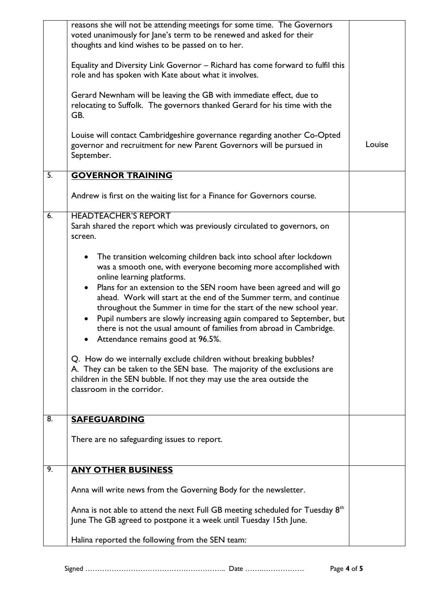|    | reasons she will not be attending meetings for some time. The Governors<br>voted unanimously for Jane's term to be renewed and asked for their<br>thoughts and kind wishes to be passed on to her.<br>Equality and Diversity Link Governor - Richard has come forward to fulfil this<br>role and has spoken with Kate about what it involves.<br>Gerard Newnham will be leaving the GB with immediate effect, due to<br>relocating to Suffolk. The governors thanked Gerard for his time with the<br>GB.                                                                                                                                                        |        |
|----|-----------------------------------------------------------------------------------------------------------------------------------------------------------------------------------------------------------------------------------------------------------------------------------------------------------------------------------------------------------------------------------------------------------------------------------------------------------------------------------------------------------------------------------------------------------------------------------------------------------------------------------------------------------------|--------|
|    | Louise will contact Cambridgeshire governance regarding another Co-Opted<br>governor and recruitment for new Parent Governors will be pursued in<br>September.                                                                                                                                                                                                                                                                                                                                                                                                                                                                                                  | Louise |
| 5. | <b>GOVERNOR TRAINING</b>                                                                                                                                                                                                                                                                                                                                                                                                                                                                                                                                                                                                                                        |        |
|    | Andrew is first on the waiting list for a Finance for Governors course.                                                                                                                                                                                                                                                                                                                                                                                                                                                                                                                                                                                         |        |
| 6. | <b>HEADTEACHER'S REPORT</b><br>Sarah shared the report which was previously circulated to governors, on<br>screen.                                                                                                                                                                                                                                                                                                                                                                                                                                                                                                                                              |        |
|    | The transition welcoming children back into school after lockdown<br>$\bullet$<br>was a smooth one, with everyone becoming more accomplished with<br>online learning platforms.<br>• Plans for an extension to the SEN room have been agreed and will go<br>ahead. Work will start at the end of the Summer term, and continue<br>throughout the Summer in time for the start of the new school year.<br>Pupil numbers are slowly increasing again compared to September, but<br>there is not the usual amount of families from abroad in Cambridge.<br>Attendance remains good at 96.5%.<br>Q. How do we internally exclude children without breaking bubbles? |        |
|    | A. They can be taken to the SEN base. The majority of the exclusions are<br>children in the SEN bubble. If not they may use the area outside the<br>classroom in the corridor.                                                                                                                                                                                                                                                                                                                                                                                                                                                                                  |        |
| 8. | <b>SAFEGUARDING</b><br>There are no safeguarding issues to report.                                                                                                                                                                                                                                                                                                                                                                                                                                                                                                                                                                                              |        |
| 9. | <b>ANY OTHER BUSINESS</b>                                                                                                                                                                                                                                                                                                                                                                                                                                                                                                                                                                                                                                       |        |
|    | Anna will write news from the Governing Body for the newsletter.                                                                                                                                                                                                                                                                                                                                                                                                                                                                                                                                                                                                |        |
|    | Anna is not able to attend the next Full GB meeting scheduled for Tuesday 8th<br>June The GB agreed to postpone it a week until Tuesday 15th June.                                                                                                                                                                                                                                                                                                                                                                                                                                                                                                              |        |
|    | Halina reported the following from the SEN team:                                                                                                                                                                                                                                                                                                                                                                                                                                                                                                                                                                                                                |        |